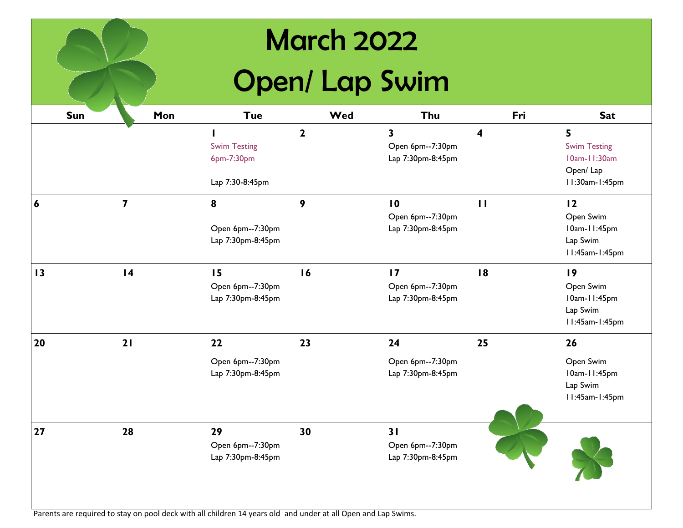## March 2022

## Open/ Lap Swim

| Sun              | Mon                     | <b>Tue</b>                                                    | Wed          | Thu                                                      | Fri                     | <b>Sat</b>                                                                      |
|------------------|-------------------------|---------------------------------------------------------------|--------------|----------------------------------------------------------|-------------------------|---------------------------------------------------------------------------------|
|                  |                         | <b>Swim Testing</b><br>6pm-7:30pm                             | $\mathbf{2}$ | 3<br>Open 6pm--7:30pm<br>Lap 7:30pm-8:45pm               | $\overline{\mathbf{4}}$ | 5<br><b>Swim Testing</b><br>10am-11:30am<br>Open/Lap                            |
| $\boldsymbol{6}$ | $\overline{\mathbf{z}}$ | Lap 7:30-8:45pm<br>8<br>Open 6pm--7:30pm<br>Lap 7:30pm-8:45pm | 9            | $\overline{10}$<br>Open 6pm--7:30pm<br>Lap 7:30pm-8:45pm | $\mathbf{H}$            | 11:30am-1:45pm<br>12<br>Open Swim<br>10am-11:45pm<br>Lap Swim<br>II:45am-1:45pm |
| $\overline{13}$  | 4                       | 15<br>Open 6pm--7:30pm<br>Lap 7:30pm-8:45pm                   | 16           | 17<br>Open 6pm--7:30pm<br>Lap 7:30pm-8:45pm              | 18                      | 19<br>Open Swim<br>10am-11:45pm<br>Lap Swim<br>11:45am-1:45pm                   |
| 20               | 21                      | 22<br>Open 6pm--7:30pm<br>Lap 7:30pm-8:45pm                   | 23           | 24<br>Open 6pm--7:30pm<br>Lap 7:30pm-8:45pm              | 25                      | 26<br>Open Swim<br>10am-11:45pm<br>Lap Swim<br>11:45am-1:45pm                   |
| 27               | 28                      | 29<br>Open 6pm--7:30pm<br>Lap 7:30pm-8:45pm                   | 30           | 31<br>Open 6pm--7:30pm<br>Lap 7:30pm-8:45pm              |                         |                                                                                 |

Parents are required to stay on pool deck with all children 14 years old and under at all Open and Lap Swims.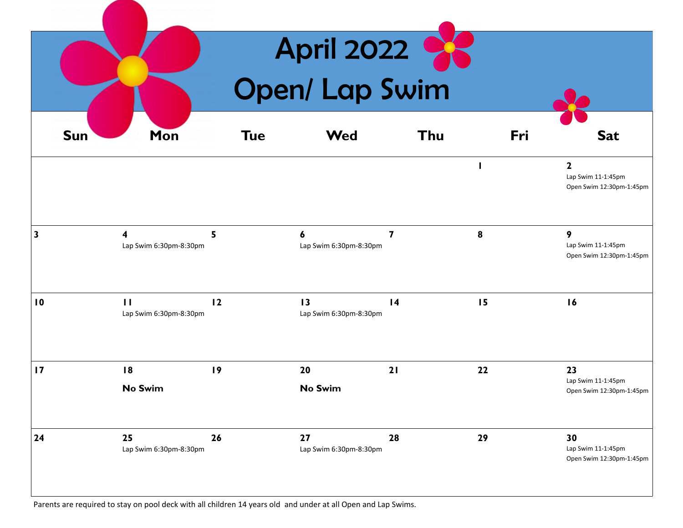| <b>April 2022</b><br><b>Open/ Lap Swim</b> |                                        |            |                                           |           |     |                                                               |  |
|--------------------------------------------|----------------------------------------|------------|-------------------------------------------|-----------|-----|---------------------------------------------------------------|--|
| <b>Sun</b>                                 | Mon                                    | <b>Tue</b> | <b>Wed</b>                                | Thu       | Fri | <b>Sat</b>                                                    |  |
|                                            |                                        |            |                                           |           | ш   | $\mathbf 2$<br>Lap Swim 11-1:45pm<br>Open Swim 12:30pm-1:45pm |  |
| $\mathbf{3}$                               | 4<br>Lap Swim 6:30pm-8:30pm            | 5          | 6<br>Lap Swim 6:30pm-8:30pm               | 7         | 8   | 9<br>Lap Swim 11-1:45pm<br>Open Swim 12:30pm-1:45pm           |  |
| $\overline{10}$                            | $\mathbf{H}$<br>Lap Swim 6:30pm-8:30pm | 12         | $\overline{13}$<br>Lap Swim 6:30pm-8:30pm | $\vert 4$ | 15  | 16                                                            |  |
| 17                                         | 18<br><b>No Swim</b>                   | 19         | 20<br><b>No Swim</b>                      | 21        | 22  | 23<br>Lap Swim 11-1:45pm<br>Open Swim 12:30pm-1:45pm          |  |
| 24                                         | 25<br>Lap Swim 6:30pm-8:30pm           | 26         | 27<br>Lap Swim 6:30pm-8:30pm              | 28        | 29  | 30<br>Lap Swim 11-1:45pm<br>Open Swim 12:30pm-1:45pm          |  |

Parents are required to stay on pool deck with all children 14 years old and under at all Open and Lap Swims.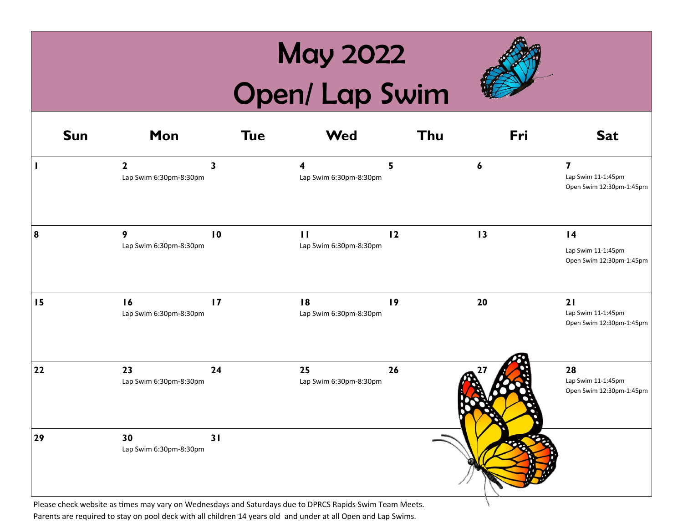## May 2022

# Open/ Lap Swim



| <b>Sun</b>       | Mon                                    | <b>Tue</b>      | <b>Wed</b>                             | Thu | Fri | <b>Sat</b>                                                                |
|------------------|----------------------------------------|-----------------|----------------------------------------|-----|-----|---------------------------------------------------------------------------|
|                  | $\mathbf{2}$<br>Lap Swim 6:30pm-8:30pm | 3               | 4<br>Lap Swim 6:30pm-8:30pm            | 5   | 6   | $\overline{\mathbf{z}}$<br>Lap Swim 11-1:45pm<br>Open Swim 12:30pm-1:45pm |
| $\boldsymbol{8}$ | 9<br>Lap Swim 6:30pm-8:30pm            | $\overline{10}$ | $\mathbf{H}$<br>Lap Swim 6:30pm-8:30pm | 12  | 13  | $\overline{14}$<br>Lap Swim 11-1:45pm<br>Open Swim 12:30pm-1:45pm         |
| 15               | 16<br>Lap Swim 6:30pm-8:30pm           | 17              | 18<br>Lap Swim 6:30pm-8:30pm           | 19  | 20  | 21<br>Lap Swim 11-1:45pm<br>Open Swim 12:30pm-1:45pm                      |
| $22$             | 23<br>Lap Swim 6:30pm-8:30pm           | 24              | 25<br>Lap Swim 6:30pm-8:30pm           | 26  |     | 28<br>Lap Swim 11-1:45pm<br>Open Swim 12:30pm-1:45pm                      |
| 29               | 30<br>Lap Swim 6:30pm-8:30pm           | 31              |                                        |     |     |                                                                           |

Please check website as times may vary on Wednesdays and Saturdays due to DPRCS Rapids Swim Team Meets. Parents are required to stay on pool deck with all children 14 years old and under at all Open and Lap Swims.